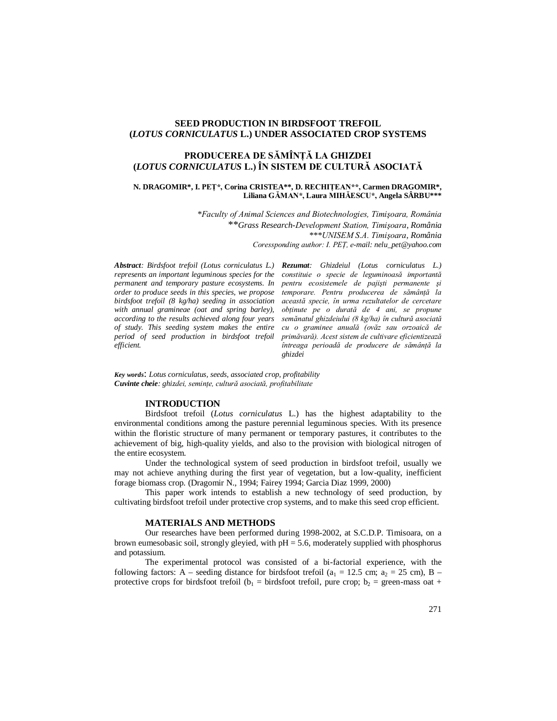## **SEED PRODUCTION IN BIRDSFOOT TREFOIL (***LOTUS CORNICULATUS* **L.) UNDER ASSOCIATED CROP SYSTEMS**

# **PRODUCEREA DE SĂMÎNŢĂ LA GHIZDEI (***LOTUS CORNICULATUS* **L.) ÎN SISTEM DE CULTURĂ ASOCIATĂ**

### **N. DRAGOMIR\*, I. PEŢ\*, Corina CRISTEA\*\*, D. RECHIŢEAN\*\*, Carmen DRAGOMIR\*, Liliana GĂMAN\*, Laura MIHĂESCU\*, Angela SÂRBU\*\*\***

*\*Faculty of Animal Sciences and Biotechnologies, Timişoara, România* \*\**Grass Research-Development Station, Timişoara, România \*\*\*UNISEM S.A. Timişoara, România Coressponding author: I. PEŢ, e-mail: nelu\_pet@yahoo.com*

*Abstract: Birdsfoot trefoil (Lotus corniculatus L.) Rezumat: Ghizdeiul (Lotus corniculatus L.) represents an important leguminous species for the permanent and temporary pasture ecosystems. In order to produce seeds in this species, we propose birdsfoot trefoil (8 kg/ha) seeding in association with annual gramineae (oat and spring barley), according to the results achieved along four years of study. This seeding system makes the entire period of seed production in birdsfoot trefoil efficient.*

*constituie o specie de leguminoasă importantă pentru ecosistemele de pajişti permanente şi temporare. Pentru producerea de sămânţă la această specie, în urma rezultatelor de cercetare obţinute pe o durată de 4 ani, se propune semănatul ghizdeiului (8 kg/ha) în cultură asociată cu o graminee anuală (ovăz sau orzoaică de primăvară). Acest sistem de cultivare eficientizează întreaga perioadă de producere de sămânţă la ghizdei*

*Key words*: *Lotus corniculatus, seeds, associated crop, profitability Cuvinte cheie: ghizdei, seminţe, cultură asociată, profitabilitate*

## **INTRODUCTION**

Birdsfoot trefoil (*Lotus corniculatus* L.) has the highest adaptability to the environmental conditions among the pasture perennial leguminous species. With its presence within the floristic structure of many permanent or temporary pastures, it contributes to the achievement of big, high-quality yields, and also to the provision with biological nitrogen of the entire ecosystem.

Under the technological system of seed production in birdsfoot trefoil, usually we may not achieve anything during the first year of vegetation, but a low-quality, inefficient forage biomass crop. (Dragomir N., 1994; Fairey 1994; Garcia Diaz 1999, 2000)

This paper work intends to establish a new technology of seed production, by cultivating birdsfoot trefoil under protective crop systems, and to make this seed crop efficient.

#### **MATERIALS AND METHODS**

Our researches have been performed during 1998-2002, at S.C.D.P. Timisoara, on a brown eumesobasic soil, strongly gleyied, with  $pH = 5.6$ , moderately supplied with phosphorus and potassium.

The experimental protocol was consisted of a bi-factorial experience, with the following factors: A – seeding distance for birdsfoot trefoil ( $a_1 = 12.5$  cm;  $a_2 = 25$  cm), B – protective crops for birdsfoot trefoil ( $b_1$  = birdsfoot trefoil, pure crop;  $b_2$  = green-mass oat +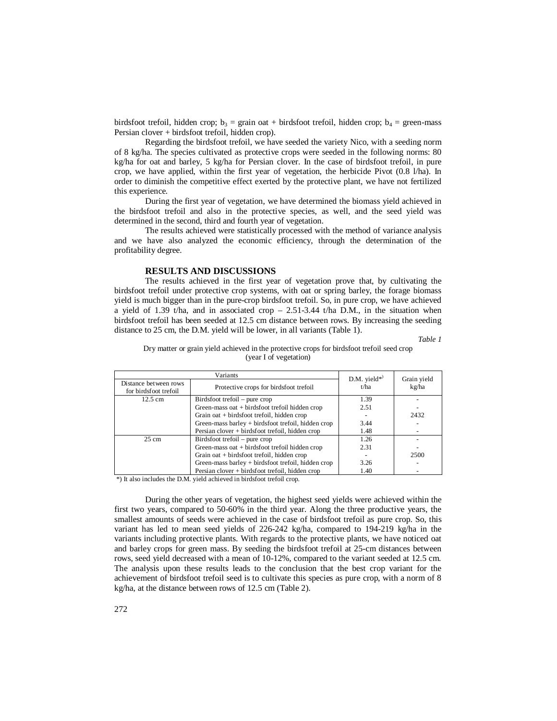birdsfoot trefoil, hidden crop;  $b_3$  = grain oat + birdsfoot trefoil, hidden crop;  $b_4$  = green-mass Persian clover + birdsfoot trefoil, hidden crop).

Regarding the birdsfoot trefoil, we have seeded the variety Nico, with a seeding norm of 8 kg/ha. The species cultivated as protective crops were seeded in the following norms: 80 kg/ha for oat and barley, 5 kg/ha for Persian clover. In the case of birdsfoot trefoil, in pure crop, we have applied, within the first year of vegetation, the herbicide Pivot (0.8 l/ha). In order to diminish the competitive effect exerted by the protective plant, we have not fertilized this experience.

During the first year of vegetation, we have determined the biomass yield achieved in the birdsfoot trefoil and also in the protective species, as well, and the seed yield was determined in the second, third and fourth year of vegetation.

The results achieved were statistically processed with the method of variance analysis and we have also analyzed the economic efficiency, through the determination of the profitability degree.

### **RESULTS AND DISCUSSIONS**

The results achieved in the first year of vegetation prove that, by cultivating the birdsfoot trefoil under protective crop systems, with oat or spring barley, the forage biomass yield is much bigger than in the pure-crop birdsfoot trefoil. So, in pure crop, we have achieved a yield of 1.39 t/ha, and in associated crop  $-2.51-3.44$  t/ha D.M., in the situation when birdsfoot trefoil has been seeded at 12.5 cm distance between rows. By increasing the seeding distance to 25 cm, the D.M. yield will be lower, in all variants (Table 1).

*Table 1*

Dry matter or grain yield achieved in the protective crops for birdsfoot trefoil seed crop (year I of vegetation)

| Variants                                       |                                                    | D.M. yield $*$ | Grain yield |  |
|------------------------------------------------|----------------------------------------------------|----------------|-------------|--|
| Distance between rows<br>for birdsfoot trefoil | Protective crops for birdsfoot trefoil             | t/ha           | kg/ha       |  |
| 12.5 cm                                        | $Birdsfoot trefoil$ – pure crop                    | 1.39           |             |  |
|                                                | Green-mass oat + birdsfoot trefoil hidden crop     | 2.51           |             |  |
|                                                | Grain oat + birdsfoot trefoil, hidden crop         |                | 2432        |  |
|                                                | Green-mass barley + birdsfoot trefoil, hidden crop | 3.44           |             |  |
|                                                | Persian clover + birdsfoot trefoil, hidden crop    | 1.48           |             |  |
| $25 \text{ cm}$                                | $Birdsfoot trefoil$ – pure crop                    | 1.26           |             |  |
|                                                | Green-mass oat + birdsfoot trefoil hidden crop     | 2.31           |             |  |
|                                                | Grain oat + birdsfoot trefoil, hidden crop         |                | 2500        |  |
|                                                | Green-mass barley + birdsfoot trefoil, hidden crop | 3.26           |             |  |
|                                                | Persian clover + birdsfoot trefoil, hidden crop    | 1.40           |             |  |
|                                                |                                                    |                |             |  |

\*) It also includes the D.M. yield achieved in birdsfoot trefoil crop.

During the other years of vegetation, the highest seed yields were achieved within the first two years, compared to 50-60% in the third year. Along the three productive years, the smallest amounts of seeds were achieved in the case of birdsfoot trefoil as pure crop. So, this variant has led to mean seed yields of 226-242 kg/ha, compared to 194-219 kg/ha in the variants including protective plants. With regards to the protective plants, we have noticed oat and barley crops for green mass. By seeding the birdsfoot trefoil at 25-cm distances between rows, seed yield decreased with a mean of 10-12%, compared to the variant seeded at 12.5 cm. The analysis upon these results leads to the conclusion that the best crop variant for the achievement of birdsfoot trefoil seed is to cultivate this species as pure crop, with a norm of 8 kg/ha, at the distance between rows of 12.5 cm (Table 2).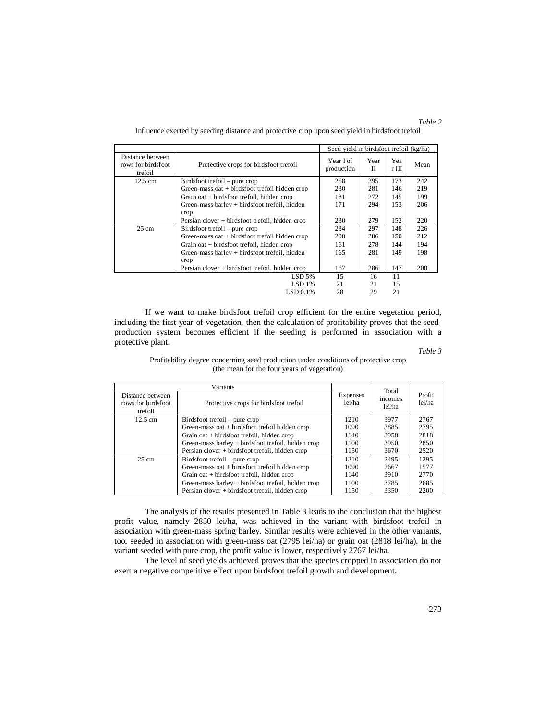|                                                   |                                                 | Seed yield in birdsfoot trefoil (kg/ha) |                     |              |      |
|---------------------------------------------------|-------------------------------------------------|-----------------------------------------|---------------------|--------------|------|
| Distance between<br>rows for birdsfoot<br>trefoil | Protective crops for birdsfoot trefoil          | Year I of<br>production                 | Year<br>$_{\rm II}$ | Yea<br>r III | Mean |
| $12.5 \text{ cm}$                                 | Birdsfoot trefoil – pure crop                   | 258                                     | 295                 | 173          | 242  |
|                                                   | Green-mass oat + birdsfoot trefoil hidden crop  | 230                                     | 281                 | 146          | 219  |
|                                                   | Grain oat + birdsfoot trefoil, hidden crop      | 181                                     | 272                 | 145          | 199  |
|                                                   | Green-mass barley + birdsfoot trefoil, hidden   | 171                                     | 294                 | 153          | 206  |
|                                                   | crop                                            |                                         |                     |              |      |
|                                                   | Persian clover + birdsfoot trefoil, hidden crop | 230                                     | 279                 | 152          | 220  |
| $25 \text{ cm}$                                   | Birdsfoot trefoil – pure crop                   | 234                                     | 297                 | 148          | 226  |
|                                                   | Green-mass oat + birdsfoot trefoil hidden crop  | 200                                     | 286                 | 150          | 212  |
|                                                   | Grain oat + birdsfoot trefoil, hidden crop      | 161                                     | 278                 | 144          | 194  |
|                                                   | Green-mass barley + birdsfoot trefoil, hidden   | 165                                     | 281                 | 149          | 198  |
|                                                   | crop                                            |                                         |                     |              |      |
|                                                   | Persian clover + birdsfoot trefoil, hidden crop | 167                                     | 286                 | 147          | 200  |
|                                                   | $LSD$ 5%                                        | 15                                      | 16                  | 11           |      |
|                                                   | <b>LSD 1%</b>                                   | 21                                      | 21                  | 15           |      |
|                                                   | LSD 0.1%                                        | 28                                      | 29                  | 21           |      |

Influence exerted by seeding distance and protective crop upon seed yield in birdsfoot trefoil

If we want to make birdsfoot trefoil crop efficient for the entire vegetation period, including the first year of vegetation, then the calculation of profitability proves that the seedproduction system becomes efficient if the seeding is performed in association with a protective plant.

*Table 3*

Profitability degree concerning seed production under conditions of protective crop (the mean for the four years of vegetation)

| Variants                                          |                                                    |                    | Total             |                  |
|---------------------------------------------------|----------------------------------------------------|--------------------|-------------------|------------------|
| Distance between<br>rows for birdsfoot<br>trefoil | Protective crops for birdsfoot trefoil             | Expenses<br>lei/ha | incomes<br>lei/ha | Profit<br>lei/ha |
| $12.5 \text{ cm}$                                 | $Birdsfoot trefoil$ – pure crop                    | 1210               | 3977              | 2767             |
|                                                   | Green-mass oat + birdsfoot trefoil hidden crop     | 1090               | 3885              | 2795             |
|                                                   | Grain oat + birdsfoot trefoil, hidden crop         | 1140               | 3958              | 2818             |
|                                                   | Green-mass barley + birdsfoot trefoil, hidden crop | 1100               | 3950              | 2850             |
|                                                   | Persian clover + birdsfoot trefoil, hidden crop    | 1150               | 3670              | 2520             |
| $25 \text{ cm}$                                   | Birdsfoot trefoil – pure crop                      | 1210               | 2495              | 1295             |
|                                                   | Green-mass oat + birdsfoot trefoil hidden crop     | 1090               | 2667              | 1577             |
|                                                   | Grain oat + birdsfoot trefoil, hidden crop         | 1140               | 3910              | 2770             |
|                                                   | Green-mass barley + birdsfoot trefoil, hidden crop | 1100               | 3785              | 2685             |
|                                                   | Persian clover + birdsfoot trefoil, hidden crop    | 1150               | 3350              | 2200             |

The analysis of the results presented in Table 3 leads to the conclusion that the highest profit value, namely 2850 lei/ha, was achieved in the variant with birdsfoot trefoil in association with green-mass spring barley. Similar results were achieved in the other variants, too, seeded in association with green-mass oat (2795 lei/ha) or grain oat (2818 lei/ha). In the variant seeded with pure crop, the profit value is lower, respectively 2767 lei/ha.

The level of seed yields achieved proves that the species cropped in association do not exert a negative competitive effect upon birdsfoot trefoil growth and development.